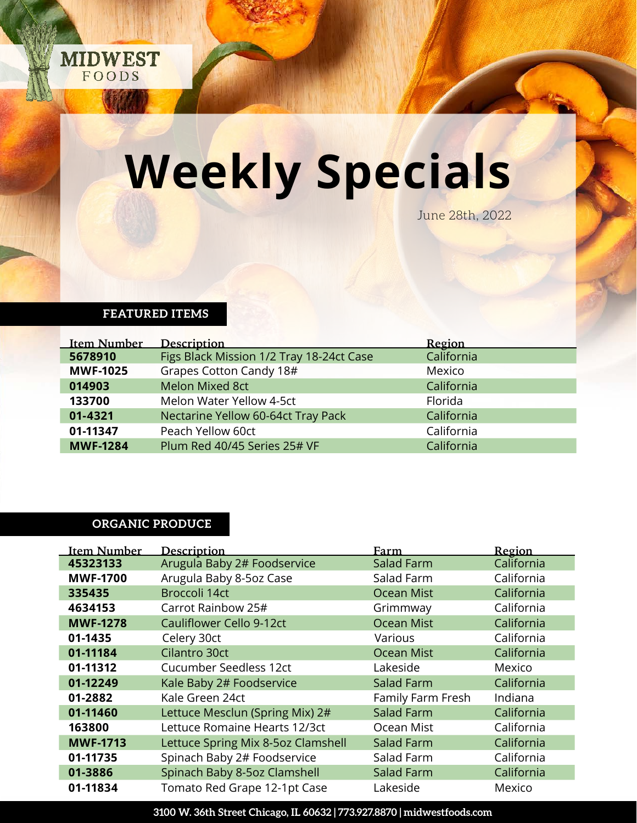

## **Weekly Specials**

June 28th, 2022

#### **FEATURED ITEMS**

| <b>Item Number</b> | Description                              | Region     |
|--------------------|------------------------------------------|------------|
| 5678910            | Figs Black Mission 1/2 Tray 18-24ct Case | California |
| <b>MWF-1025</b>    | Grapes Cotton Candy 18#                  | Mexico     |
| 014903             | <b>Melon Mixed 8ct</b>                   | California |
| 133700             | Melon Water Yellow 4-5ct                 | Florida    |
| 01-4321            | Nectarine Yellow 60-64ct Tray Pack       | California |
| 01-11347           | Peach Yellow 60ct                        | California |
| <b>MWF-1284</b>    | Plum Red 40/45 Series 25# VF             | California |

#### **ORGANIC PRODUCE**

| Item Number     | <b>Description</b>                 | Farm              | Region     |
|-----------------|------------------------------------|-------------------|------------|
| 45323133        | Arugula Baby 2# Foodservice        | <b>Salad Farm</b> | California |
| <b>MWF-1700</b> | Arugula Baby 8-5oz Case            | Salad Farm        | California |
| 335435          | Broccoli 14ct                      | <b>Ocean Mist</b> | California |
| 4634153         | Carrot Rainbow 25#                 | Grimmway          | California |
| <b>MWF-1278</b> | Cauliflower Cello 9-12ct           | Ocean Mist        | California |
| 01-1435         | Celery 30ct                        | Various           | California |
| 01-11184        | Cilantro 30ct                      | <b>Ocean Mist</b> | California |
| 01-11312        | Cucumber Seedless 12ct             | Lakeside          | Mexico     |
| 01-12249        | Kale Baby 2# Foodservice           | Salad Farm        | California |
| 01-2882         | Kale Green 24ct                    | Family Farm Fresh | Indiana    |
| 01-11460        | Lettuce Mesclun (Spring Mix) 2#    | Salad Farm        | California |
| 163800          | Lettuce Romaine Hearts 12/3ct      | Ocean Mist        | California |
| <b>MWF-1713</b> | Lettuce Spring Mix 8-5oz Clamshell | Salad Farm        | California |
| 01-11735        | Spinach Baby 2# Foodservice        | Salad Farm        | California |
| 01-3886         | Spinach Baby 8-5oz Clamshell       | Salad Farm        | California |
| 01-11834        | Tomato Red Grape 12-1pt Case       | Lakeside          | Mexico     |

**3100 W. 36th Street Chicago, IL 60632 | 773.927.8870 | midwestfoods.com**